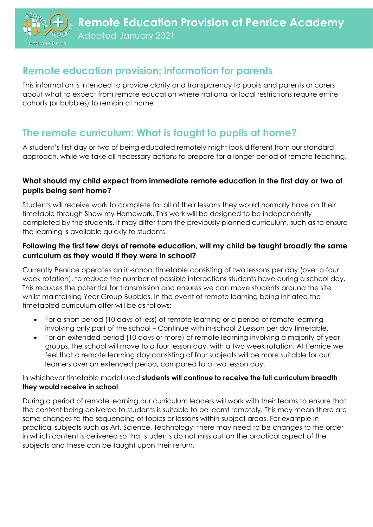

# **Remote education provision: information for parents**

This information is intended to provide clarity and transparency to pupils and parents or carers about what to expect from remote education where national or local restrictions require entire cohorts (or bubbles) to remain at home.

# **The remote curriculum: What is taught to pupils at home?**

A student's first day or two of being educated remotely might look different from our standard approach, while we take all necessary actions to prepare for a longer period of remote teaching.

### **What should my child expect from immediate remote education in the first day or two of pupils being sent home?**

Students will receive work to complete for all of their lessons they would normally have on their timetable through Show my Homework. This work will be designed to be independently completed by the students. It may differ from the previously planned curriculum, such as to ensure the learning is available quickly to students.

### **Following the first few days of remote education, will my child be taught broadly the same curriculum as they would if they were in school?**

Currently Penrice operates an in-school timetable consisting of two lessons per day (over a four week rotation), to reduce the number of possible interactions students have during a school day. This reduces the potential for transmission and ensures we can move students around the site whilst maintaining Year Group Bubbles. In the event of remote learning being initiated the timetabled curriculum offer will be as follows:

- For a short period (10 days of less) of remote learning or a period of remote learning involving only part of the school – Continue with in-school 2 Lesson per day timetable.
- For an extended period (10 days or more) of remote learning involving a majority of year groups, the school will move to a four lesson day, with a two week rotation. At Penrice we feel that a remote learning day consisting of four subjects will be more suitable for our learners over an extended period, compared to a two lesson day.

#### In whichever timetable model used **students will continue to receive the full curriculum breadth they would receive in school**.

During a period of remote learning our curriculum leaders will work with their teams to ensure that the content being delivered to students is suitable to be learnt remotely. This may mean there are some changes to the sequencing of topics or lessons within subject areas. For example in practical subjects such as Art, Science, Technology; there may need to be changes to the order in which content is delivered so that students do not miss out on the practical aspect of the subjects and these can be taught upon their return.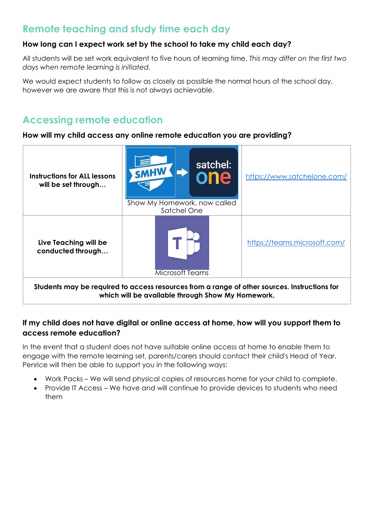## **Remote teaching and study time each day**

### **How long can I expect work set by the school to take my child each day?**

All students will be set work equivalent to five hours of learning time. *This may differ on the first two days when remote learning is initiated.*

We would expect students to follow as closely as possible the normal hours of the school day, however we are aware that this is not always achievable.

## **Accessing remote education**

#### **How will my child access any online remote education you are providing?**

| <b>Instructions for ALL lessons</b><br>will be set through                                                                                        | satchel:<br><b>SMHW</b><br>one<br>Show My Homework, now called<br>Satchel One | https://www.satchelone.com/  |
|---------------------------------------------------------------------------------------------------------------------------------------------------|-------------------------------------------------------------------------------|------------------------------|
| Live Teaching will be<br>conducted through                                                                                                        | <b>Microsoft Teams</b>                                                        | https://teams.microsoft.com/ |
| Students may be required to access resources from a range of other sources. Instructions for<br>which will be available through Show My Homework. |                                                                               |                              |

### **If my child does not have digital or online access at home, how will you support them to access remote education?**

In the event that a student does not have suitable online access at home to enable them to engage with the remote learning set, parents/carers should contact their child's Head of Year. Penrice will then be able to support you in the following ways:

- Work Packs We will send physical copies of resources home for your child to complete.
- Provide IT Access We have and will continue to provide devices to students who need them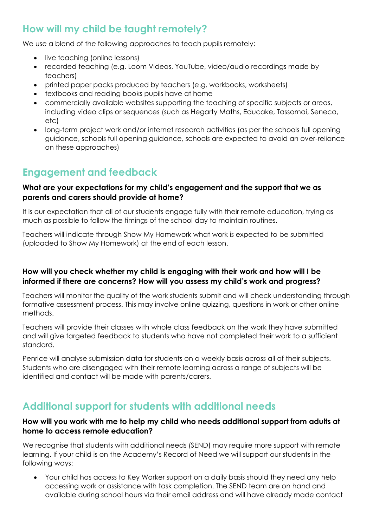# **How will my child be taught remotely?**

We use a blend of the following approaches to teach pupils remotely:

- live teaching (online lessons)
- recorded teaching (e.g. Loom Videos, YouTube, video/audio recordings made by teachers)
- printed paper packs produced by teachers (e.g. workbooks, worksheets)
- textbooks and reading books pupils have at home
- commercially available websites supporting the teaching of specific subjects or areas, including video clips or sequences (such as Hegarty Maths, Educake, Tassomai, Seneca, etc)
- long-term project work and/or internet research activities (as per the schools full opening guidance, schools full opening guidance, schools are expected to avoid an over-reliance on these approaches)

### **Engagement and feedback**

#### **What are your expectations for my child's engagement and the support that we as parents and carers should provide at home?**

It is our expectation that all of our students engage fully with their remote education, trying as much as possible to follow the timings of the school day to maintain routines.

Teachers will indicate through Show My Homework what work is expected to be submitted (uploaded to Show My Homework) at the end of each lesson.

### **How will you check whether my child is engaging with their work and how will I be informed if there are concerns? How will you assess my child's work and progress?**

Teachers will monitor the quality of the work students submit and will check understanding through formative assessment process. This may involve online quizzing, questions in work or other online methods.

Teachers will provide their classes with whole class feedback on the work they have submitted and will give targeted feedback to students who have not completed their work to a sufficient standard.

Penrice will analyse submission data for students on a weekly basis across all of their subjects. Students who are disengaged with their remote learning across a range of subjects will be identified and contact will be made with parents/carers.

# **Additional support for students with additional needs**

### **How will you work with me to help my child who needs additional support from adults at home to access remote education?**

We recognise that students with additional needs (SEND) may require more support with remote learning. If your child is on the Academy's Record of Need we will support our students in the following ways:

• Your child has access to Key Worker support on a daily basis should they need any help accessing work or assistance with task completion. The SEND team are on hand and available during school hours via their email address and will have already made contact